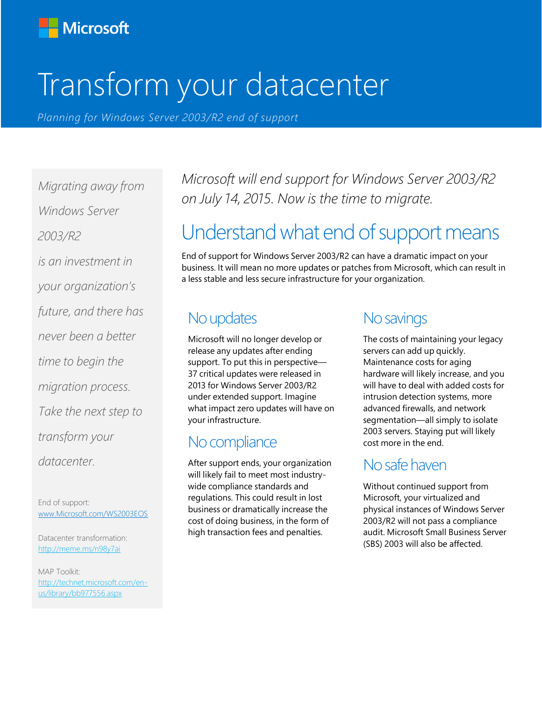

# Transform your datacenter

*Planning for Windows Server 2003/R2 end of support*

*Migrating away from Windows Server 2003/R2 is an investment in your organization's future, and there has never been a better time to begin the migration process. Take the next step to transform your datacenter.*

End of support: [www.Microsoft.com/WS2003EOS](http://www.microsoft.com/WS2003EOS)

Datacenter transformation: <http://meme.ms/n98y7ai>

MAP Toolkit: [http://technet.microsoft.com/en](http://technet.microsoft.com/en-us/library/bb977556.aspx)[us/library/bb977556.aspx](http://technet.microsoft.com/en-us/library/bb977556.aspx)

*Microsoft will end support for Windows Server 2003/R2 on July 14, 2015. Now is the time to migrate.*

# Understand what end of support means

End of support for Windows Server 2003/R2 can have a dramatic impact on your business. It will mean no more updates or patches from Microsoft, which can result in a less stable and less secure infrastructure for your organization.

#### No updates

Microsoft will no longer develop or release any updates after ending support. To put this in perspective— 37 critical updates were released in 2013 for Windows Server 2003/R2 under extended support. Imagine what impact zero updates will have on your infrastructure.

### No compliance

After support ends, your organization will likely fail to meet most industrywide compliance standards and regulations. This could result in lost business or dramatically increase the cost of doing business, in the form of high transaction fees and penalties.

### No savings

The costs of maintaining your legacy servers can add up quickly. Maintenance costs for aging hardware will likely increase, and you will have to deal with added costs for intrusion detection systems, more advanced firewalls, and network segmentation—all simply to isolate 2003 servers. Staying put will likely cost more in the end.

### No safe haven

Without continued support from Microsoft, your virtualized and physical instances of Windows Server 2003/R2 will not pass a compliance audit. Microsoft Small Business Server (SBS) 2003 will also be affected.